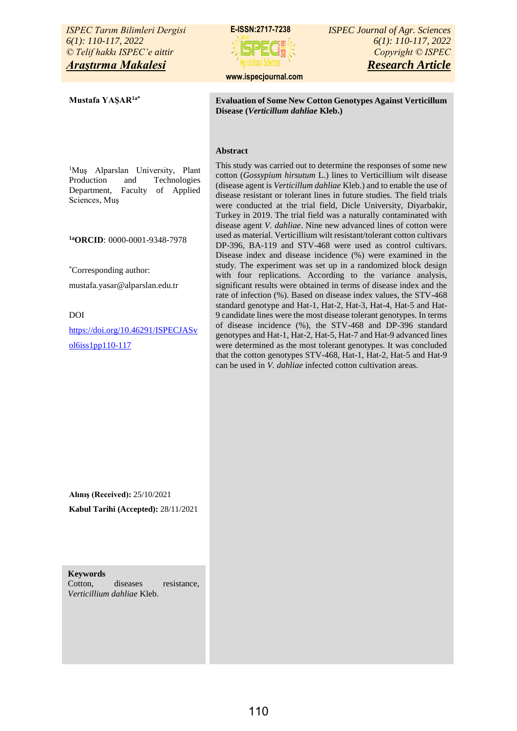*ISPEC Tarım Bilimleri Dergisi 6(1): 110-117, 2022 © Telif hakkı ISPEC'e aittir Araştırma Makalesi*

**Mustafa YAŞAR1a\***

| E-ISSN: 2717-7238 |  |
|-------------------|--|
|                   |  |

 **[www.ispecjournal.com](http://www.ispecjournal.com/)**

*ISPEC Journal of Agr. Sciences 6(1): 110-117, 2022 Copyright © ISPEC Research Article*

**Evaluation of Some New Cotton Genotypes Against Verticillum Disease (***Verticillum dahliae* **Kleb.)**

#### **Abstract**

<sup>1</sup>Muş Alparslan University, Plant Production and Technologies Department, Faculty of Applied Sciences, Muş

**1aORCID**: 0000-0001-9348-7978

\*Corresponding author:

mustafa.yasar@alparslan.edu.tr

DOI

[https://doi.org/10.46291/ISPECJASv](https://doi.org/10.46291/ISPECJASvol6iss1pp110-117) [ol6iss1pp110-117](https://doi.org/10.46291/ISPECJASvol6iss1pp110-117)

This study was carried out to determine the responses of some new cotton (*Gossypium hirsutum* L.) lines to Verticillium wilt disease (disease agent is *Verticillum dahliae* Kleb.) and to enable the use of disease resistant or tolerant lines in future studies. The field trials were conducted at the trial field, Dicle University, Diyarbakir, Turkey in 2019. The trial field was a naturally contaminated with disease agent *V. dahliae*. Nine new advanced lines of cotton were used as material. Verticillium wilt resistant/tolerant cotton cultivars DP-396, BA-119 and STV-468 were used as control cultivars. Disease index and disease incidence (%) were examined in the study. The experiment was set up in a randomized block design with four replications. According to the variance analysis, significant results were obtained in terms of disease index and the rate of infection (%). Based on disease index values, the STV-468 standard genotype and Hat-1, Hat-2, Hat-3, Hat-4, Hat-5 and Hat-9 candidate lines were the most disease tolerant genotypes. In terms of disease incidence (%), the STV-468 and DP-396 standard genotypes and Hat-1, Hat-2, Hat-5, Hat-7 and Hat-9 advanced lines were determined as the most tolerant genotypes. It was concluded that the cotton genotypes STV-468, Hat-1, Hat-2, Hat-5 and Hat-9 can be used in *V. dahliae* infected cotton cultivation areas.

**Alınış (Received):** 25/10/2021

**Kabul Tarihi (Accepted):** 28/11/2021

#### **Keywords**

Cotton, diseases resistance, *Verticillium dahliae* Kleb.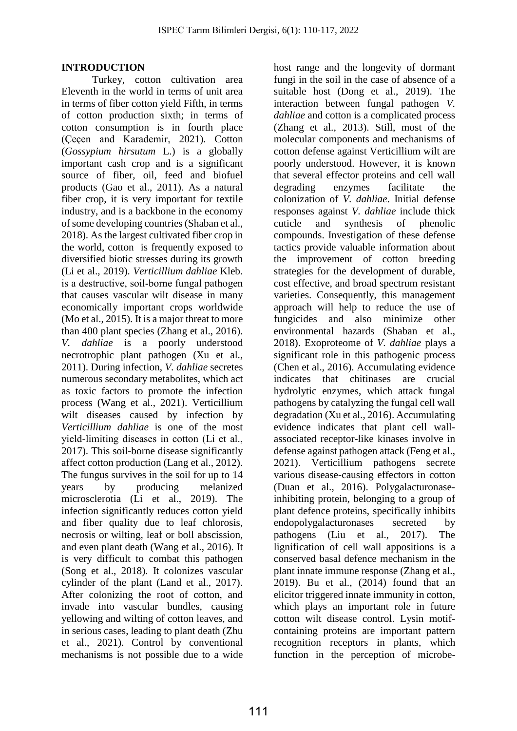## **INTRODUCTION**

Turkey, cotton cultivation area Eleventh in the world in terms of unit area in terms of fiber cotton yield Fifth, in terms of cotton production sixth; in terms of cotton consumption is in fourth place (Çeçen and Karademir, 2021). Cotton (*Gossypium hirsutum* L.) is a globally important cash crop and is a significant source of fiber, oil, feed and biofuel products (Gao et al., 2011). As a natural fiber crop, it is very important for textile industry, and is a backbone in the economy of some developing countries (Shaban et al., 2018). As the largest cultivated fiber crop in the world, cotton is frequently exposed to diversified biotic stresses during its growth (Li et al., 2019). *Verticillium dahliae* Kleb. is a destructive, soil‐borne fungal pathogen that causes vascular wilt disease in many economically important crops worldwide (Mo et al., 2015). It is a major threat to more than 400 plant species (Zhang et al., 2016). *V. dahliae* is a poorly understood necrotrophic plant pathogen (Xu et al., 2011). During infection, *V. dahliae* secretes numerous secondary metabolites, which act as toxic factors to promote the infection process (Wang et al., 2021). Verticillium wilt diseases caused by infection by *Verticillium dahliae* is one of the most yield‐limiting diseases in cotton (Li et al., 2017). This soil-borne disease significantly affect cotton production (Lang et al., 2012). The fungus survives in the soil for up to 14 years by producing melanized microsclerotia (Li et al., 2019). The infection significantly reduces cotton yield and fiber quality due to leaf chlorosis, necrosis or wilting, leaf or boll abscission, and even plant death (Wang et al., 2016). It is very difficult to combat this pathogen (Song et al., 2018). It colonizes vascular cylinder of the plant (Land et al., 2017). After colonizing the root of cotton, and invade into vascular bundles, causing yellowing and wilting of cotton leaves, and in serious cases, leading to plant death (Zhu et al., 2021). Control by conventional mechanisms is not possible due to a wide

host range and the longevity of dormant fungi in the soil in the case of absence of a suitable host (Dong et al., 2019). The interaction between fungal pathogen *V. dahliae* and cotton is a complicated process (Zhang et al., 2013). Still, most of the molecular components and mechanisms of cotton defense against Verticillium wilt are poorly understood. However, it is known that several effector proteins and cell wall degrading enzymes facilitate the colonization of *V. dahliae*. Initial defense responses against *V. dahliae* include thick cuticle and synthesis of phenolic compounds. Investigation of these defense tactics provide valuable information about the improvement of cotton breeding strategies for the development of durable, cost effective, and broad spectrum resistant varieties. Consequently, this management approach will help to reduce the use of fungicides and also minimize other environmental hazards (Shaban et al., 2018). Exoproteome of *V. dahliae* plays a significant role in this pathogenic process (Chen et al., 2016). Accumulating evidence indicates that chitinases are crucial hydrolytic enzymes, which attack fungal pathogens by catalyzing the fungal cell wall degradation (Xu et al., 2016). Accumulating evidence indicates that plant cell wallassociated receptor-like kinases involve in defense against pathogen attack (Feng et al., 2021). Verticillium pathogens secrete various disease-causing effectors in cotton (Duan et al., 2016). Polygalacturonaseinhibiting protein, belonging to a group of plant defence proteins, specifically inhibits endopolygalacturonases secreted by pathogens (Liu et al., 2017). The lignification of cell wall appositions is a conserved basal defence mechanism in the plant innate immune response (Zhang et al., 2019). Bu et al., (2014) found that an elicitor triggered innate immunity in cotton, which plays an important role in future cotton wilt disease control. Lysin motifcontaining proteins are important pattern recognition receptors in plants, which function in the perception of microbe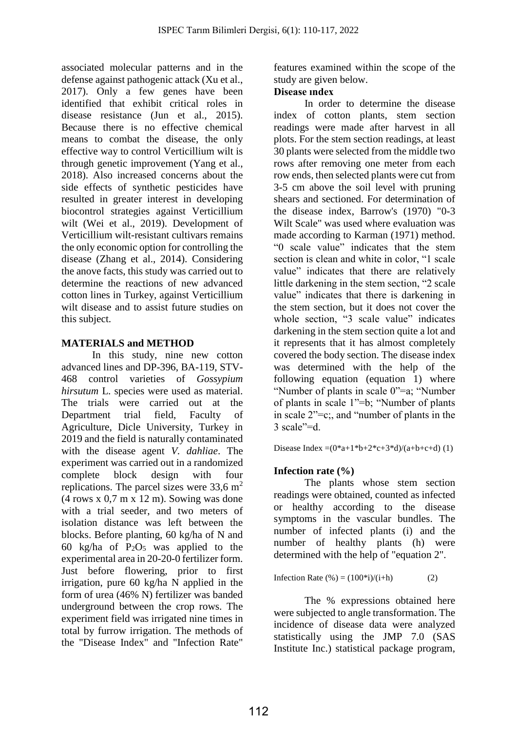associated molecular patterns and in the defense against pathogenic attack (Xu et al., 2017). Only a few genes have been identified that exhibit critical roles in disease resistance (Jun et al., 2015). Because there is no effective chemical means to combat the disease, the only effective way to control Verticillium wilt is through genetic improvement (Yang et al., 2018). Also increased concerns about the side effects of synthetic pesticides have resulted in greater interest in developing biocontrol strategies against Verticillium wilt (Wei et al., 2019). Development of Verticillium wilt-resistant cultivars remains the only economic option for controlling the disease (Zhang et al., 2014). Considering the anove facts, this study was carried out to determine the reactions of new advanced cotton lines in Turkey, against Verticillium wilt disease and to assist future studies on this subject.

## **MATERIALS and METHOD**

In this study, nine new cotton advanced lines and DP-396, BA-119, STV-468 control varieties of *Gossypium hirsutum* L. species were used as material. The trials were carried out at the Department trial field, Faculty of Agriculture, Dicle University, Turkey in 2019 and the field is naturally contaminated with the disease agent *V. dahliae*. The experiment was carried out in a randomized complete block design with four replications. The parcel sizes were  $33,6 \text{ m}^2$  $(4$  rows x 0,7 m x 12 m). Sowing was done with a trial seeder, and two meters of isolation distance was left between the blocks. Before planting, 60 kg/ha of N and 60 kg/ha of  $P_2O_5$  was applied to the experimental area in 20-20-0 fertilizer form. Just before flowering, prior to first irrigation, pure 60 kg/ha N applied in the form of urea (46% N) fertilizer was banded underground between the crop rows. The experiment field was irrigated nine times in total by furrow irrigation. The methods of the "Disease Index" and "Infection Rate"

features examined within the scope of the study are given below.

## **Disease ındex**

In order to determine the disease index of cotton plants, stem section readings were made after harvest in all plots. For the stem section readings, at least 30 plants were selected from the middle two rows after removing one meter from each row ends, then selected plants were cut from 3-5 cm above the soil level with pruning shears and sectioned. For determination of the disease index, Barrow's (1970) "0-3 Wilt Scale" was used where evaluation was made according to Karman (1971) method. "0 scale value" indicates that the stem section is clean and white in color, "1 scale value" indicates that there are relatively little darkening in the stem section, "2 scale value" indicates that there is darkening in the stem section, but it does not cover the whole section, "3 scale value" indicates darkening in the stem section quite a lot and it represents that it has almost completely covered the body section. The disease index was determined with the help of the following equation (equation 1) where "Number of plants in scale 0"=a; "Number of plants in scale 1"=b; "Number of plants in scale 2"=c;, and "number of plants in the  $3 \text{ scale}$ <sup>2</sup>=d.

Disease Index = $(0^*a+1^*b+2^*c+3^*d)/(a+b+c+d)$  (1)

# **Infection rate (%)**

The plants whose stem section readings were obtained, counted as infected or healthy according to the disease symptoms in the vascular bundles. The number of infected plants (i) and the number of healthy plants (h) were determined with the help of "equation 2".

Infection Rate  $(\% ) = (100 * i)/(i+h)$  (2)

The % expressions obtained here were subjected to angle transformation. The incidence of disease data were analyzed statistically using the JMP 7.0 (SAS Institute Inc.) statistical package program,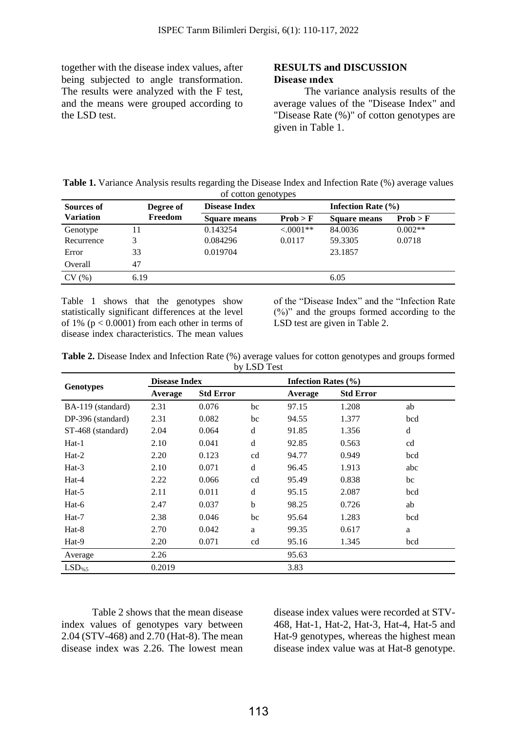together with the disease index values, after being subjected to angle transformation. The results were analyzed with the F test, and the means were grouped according to the LSD test.

#### **RESULTS and DISCUSSION Disease ındex**

The variance analysis results of the average values of the "Disease Index" and "Disease Rate (%)" of cotton genotypes are given in Table 1.

| <b>Table 1.</b> Variance Analysis results regarding the Disease Index and Infection Rate (%) average values |
|-------------------------------------------------------------------------------------------------------------|
| of cotton genotypes                                                                                         |

| <b>Sources of</b> | Degree of | <b>Disease Index</b> |            | Infection Rate $(\% )$ |           |  |
|-------------------|-----------|----------------------|------------|------------------------|-----------|--|
| <b>Variation</b>  | Freedom   | <b>Square means</b>  | Prob > F   | <b>Square means</b>    | Prob > F  |  |
| Genotype          | 11        | 0.143254             | $< 0001**$ | 84.0036                | $0.002**$ |  |
| Recurrence        |           | 0.084296             | 0.0117     | 59.3305                | 0.0718    |  |
| Error             | 33        | 0.019704             |            | 23.1857                |           |  |
| Overall           | 47        |                      |            |                        |           |  |
| CV(%)             | 6.19      |                      |            | 6.05                   |           |  |

Table 1 shows that the genotypes show statistically significant differences at the level of 1% ( $p < 0.0001$ ) from each other in terms of disease index characteristics. The mean values

of the "Disease Index" and the "Infection Rate (%)" and the groups formed according to the LSD test are given in Table 2.

|  |  |  |             |  | Table 2. Disease Index and Infection Rate (%) average values for cotton genotypes and groups formed |  |  |
|--|--|--|-------------|--|-----------------------------------------------------------------------------------------------------|--|--|
|  |  |  | by LSD Test |  |                                                                                                     |  |  |

|                   | <b>Disease Index</b> |                  |             | Infection Rates $(\% )$ |                  |     |  |
|-------------------|----------------------|------------------|-------------|-------------------------|------------------|-----|--|
| <b>Genotypes</b>  | Average              | <b>Std Error</b> |             | Average                 | <b>Std Error</b> |     |  |
| BA-119 (standard) | 2.31                 | 0.076            | bc          | 97.15                   | 1.208            | ab  |  |
| DP-396 (standard) | 2.31                 | 0.082            | bc          | 94.55                   | 1.377            | bcd |  |
| ST-468 (standard) | 2.04                 | 0.064            | $\mathbf d$ | 91.85                   | 1.356            | d   |  |
| Hat-1             | 2.10                 | 0.041            | d           | 92.85                   | 0.563            | cd  |  |
| $Hat-2$           | 2.20                 | 0.123            | cd          | 94.77                   | 0.949            | bcd |  |
| $Hat-3$           | 2.10                 | 0.071            | d           | 96.45                   | 1.913            | abc |  |
| $Hat-4$           | 2.22                 | 0.066            | cd          | 95.49                   | 0.838            | bc  |  |
| Hat-5             | 2.11                 | 0.011            | d           | 95.15                   | 2.087            | bcd |  |
| Hat-6             | 2.47                 | 0.037            | $\mathbf b$ | 98.25                   | 0.726            | ab  |  |
| $Hat-7$           | 2.38                 | 0.046            | bc          | 95.64                   | 1.283            | bcd |  |
| Hat-8             | 2.70                 | 0.042            | a           | 99.35                   | 0.617            | a   |  |
| Hat-9             | 2.20                 | 0.071            | cd          | 95.16                   | 1.345            | bcd |  |
| Average           | 2.26                 |                  |             | 95.63                   |                  |     |  |
| $LSD_{%5}$        | 0.2019               |                  |             | 3.83                    |                  |     |  |

Table 2 shows that the mean disease index values of genotypes vary between 2.04 (STV-468) and 2.70 (Hat-8). The mean disease index was 2.26. The lowest mean

disease index values were recorded at STV-468, Hat-1, Hat-2, Hat-3, Hat-4, Hat-5 and Hat-9 genotypes, whereas the highest mean disease index value was at Hat-8 genotype.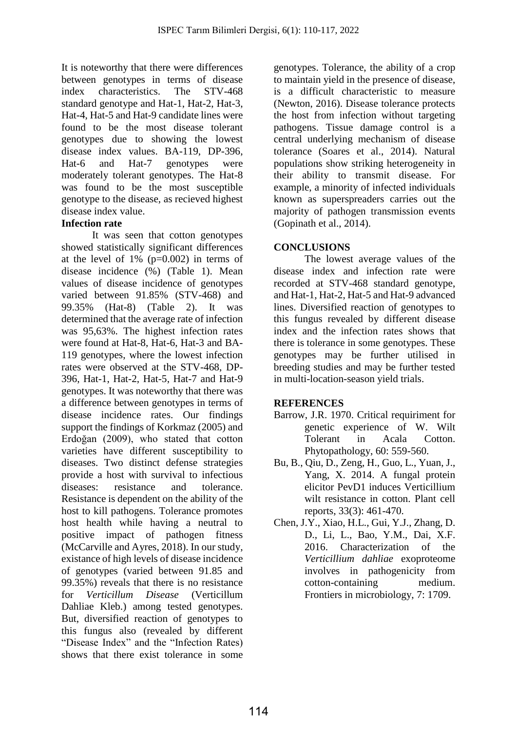It is noteworthy that there were differences between genotypes in terms of disease index characteristics. The STV-468 standard genotype and Hat-1, Hat-2, Hat-3, Hat-4, Hat-5 and Hat-9 candidate lines were found to be the most disease tolerant genotypes due to showing the lowest disease index values. BA-119, DP-396, Hat-6 and Hat-7 genotypes were moderately tolerant genotypes. The Hat-8 was found to be the most susceptible genotype to the disease, as recieved highest disease index value.

# **Infection rate**

It was seen that cotton genotypes showed statistically significant differences at the level of  $1\%$  (p=0.002) in terms of disease incidence (%) (Table 1). Mean values of disease incidence of genotypes varied between 91.85% (STV-468) and 99.35% (Hat-8) (Table 2). It was determined that the average rate of infection was 95,63%. The highest infection rates were found at Hat-8, Hat-6, Hat-3 and BA-119 genotypes, where the lowest infection rates were observed at the STV-468, DP-396, Hat-1, Hat-2, Hat-5, Hat-7 and Hat-9 genotypes. It was noteworthy that there was a difference between genotypes in terms of disease incidence rates. Our findings support the findings of Korkmaz (2005) and Erdoğan (2009), who stated that cotton varieties have different susceptibility to diseases. Two distinct defense strategies provide a host with survival to infectious diseases: resistance and tolerance. Resistance is dependent on the ability of the host to kill pathogens. Tolerance promotes host health while having a neutral to positive impact of pathogen fitness (McCarville and Ayres, 2018). In our study, existance of high levels of disease incidence of genotypes (varied between 91.85 and 99.35%) reveals that there is no resistance for *Verticillum Disease* (Verticillum Dahliae Kleb.) among tested genotypes. But, diversified reaction of genotypes to this fungus also (revealed by different "Disease Index" and the "Infection Rates) shows that there exist tolerance in some

genotypes. Tolerance, the ability of a crop to maintain yield in the presence of disease, is a difficult characteristic to measure (Newton, 2016). Disease tolerance protects the host from infection without targeting pathogens. Tissue damage control is a central underlying mechanism of disease tolerance (Soares et al., 2014). Natural populations show striking heterogeneity in their ability to transmit disease. For example, a minority of infected individuals known as superspreaders carries out the majority of pathogen transmission events (Gopinath et al., 2014).

## **CONCLUSIONS**

The lowest average values of the disease index and infection rate were recorded at STV-468 standard genotype, and Hat-1, Hat-2, Hat-5 and Hat-9 advanced lines. Diversified reaction of genotypes to this fungus revealed by different disease index and the infection rates shows that there is tolerance in some genotypes. These genotypes may be further utilised in breeding studies and may be further tested in multi-location-season yield trials.

## **REFERENCES**

- Barrow, J.R. 1970. Critical requiriment for genetic experience of W. Wilt Tolerant in Acala Cotton. Phytopathology, 60: 559-560.
- Bu, B., Qiu, D., Zeng, H., Guo, L., Yuan, J., Yang, X. 2014. A fungal protein elicitor PevD1 induces Verticillium wilt resistance in cotton. Plant cell reports, 33(3): 461-470.
- Chen, J.Y., Xiao, H.L., Gui, Y.J., Zhang, D. D., Li, L., Bao, Y.M., Dai, X.F. 2016. Characterization of the *Verticillium dahliae* exoproteome involves in pathogenicity from cotton-containing medium. Frontiers in microbiology, 7: 1709.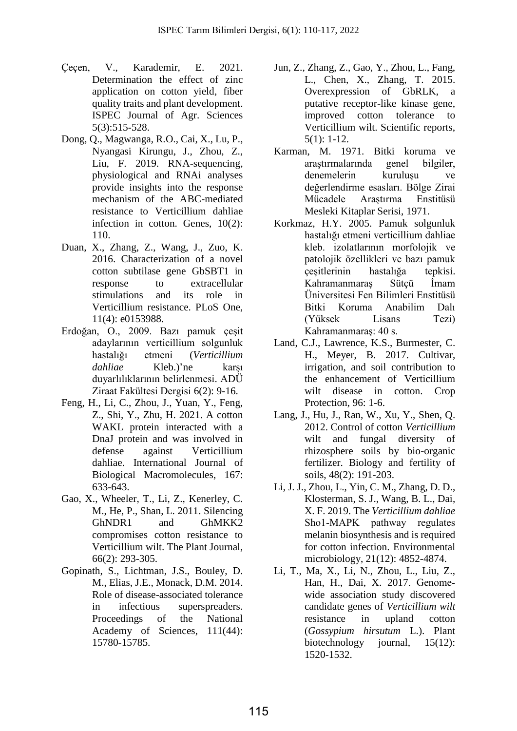- Çeçen, V., Karademir, E. 2021. Determination the effect of zinc application on cotton yield, fiber quality traits and plant development. ISPEC Journal of Agr. Sciences 5(3):515-528.
- Dong, Q., Magwanga, R.O., Cai, X., Lu, P., Nyangasi Kirungu, J., Zhou, Z., Liu, F. 2019. RNA-sequencing, physiological and RNAi analyses provide insights into the response mechanism of the ABC-mediated resistance to Verticillium dahliae infection in cotton. Genes, 10(2): 110.
- Duan, X., Zhang, Z., Wang, J., Zuo, K. 2016. Characterization of a novel cotton subtilase gene GbSBT1 in response to extracellular stimulations and its role in Verticillium resistance. PLoS One, 11(4): e0153988.
- Erdoğan, O., 2009. Bazı pamuk çeşit adaylarının verticillium solgunluk hastalığı etmeni (*Verticillium dahliae* Kleb.)'ne karşı duyarlılıklarının belirlenmesi. ADÜ Ziraat Fakültesi Dergisi 6(2): 9-16.
- Feng, H., Li, C., Zhou, J., Yuan, Y., Feng, Z., Shi, Y., Zhu, H. 2021. A cotton WAKL protein interacted with a DnaJ protein and was involved in defense against Verticillium dahliae. International Journal of Biological Macromolecules, 167: 633-643.
- Gao, X., Wheeler, T., Li, Z., Kenerley, C. M., He, P., Shan, L. 2011. Silencing GhNDR1 and GhMKK2 compromises cotton resistance to Verticillium wilt. The Plant Journal, 66(2): 293-305.
- Gopinath, S., Lichtman, J.S., Bouley, D. M., Elias, J.E., Monack, D.M. 2014. Role of disease-associated tolerance in infectious superspreaders. Proceedings of the National Academy of Sciences, 111(44): 15780-15785.
- Jun, Z., Zhang, Z., Gao, Y., Zhou, L., Fang, L., Chen, X., Zhang, T. 2015. Overexpression of GbRLK, a putative receptor-like kinase gene, improved cotton tolerance to Verticillium wilt. Scientific reports, 5(1): 1-12.
- Karman, M. 1971. Bitki koruma ve araştırmalarında genel bilgiler, denemelerin kuruluşu ve değerlendirme esasları. Bölge Zirai Mücadele Araştırma Enstitüsü Mesleki Kitaplar Serisi, 1971.
- Korkmaz, H.Y. 2005. Pamuk solgunluk hastalığı etmeni verticillium dahliae kleb. izolatlarının morfolojik ve patolojik özellikleri ve bazı pamuk çeşitlerinin hastalığa tepkisi. Kahramanmaraş Sütçü İmam Üniversitesi Fen Bilimleri Enstitüsü Bitki Koruma Anabilim Dalı (Yüksek Lisans Tezi) Kahramanmaraş: 40 s.
- Land, C.J., Lawrence, K.S., Burmester, C. H., Meyer, B. 2017. Cultivar, irrigation, and soil contribution to the enhancement of Verticillium wilt disease in cotton. Crop Protection, 96: 1-6.
- Lang, J., Hu, J., Ran, W., Xu, Y., Shen, Q. 2012. Control of cotton *Verticillium* wilt and fungal diversity of rhizosphere soils by bio-organic fertilizer. Biology and fertility of soils, 48(2): 191-203.
- Li, J. J., Zhou, L., Yin, C. M., Zhang, D. D., Klosterman, S. J., Wang, B. L., Dai, X. F. 2019. The *Verticillium dahliae* Sho1‐MAPK pathway regulates melanin biosynthesis and is required for cotton infection. Environmental microbiology, 21(12): 4852-4874.
- Li, T., Ma, X., Li, N., Zhou, L., Liu, Z., Han, H., Dai, X. 2017. Genome‐ wide association study discovered candidate genes of *Verticillium wilt* resistance in upland cotton (*Gossypium hirsutum* L.). Plant biotechnology journal, 15(12): 1520-1532.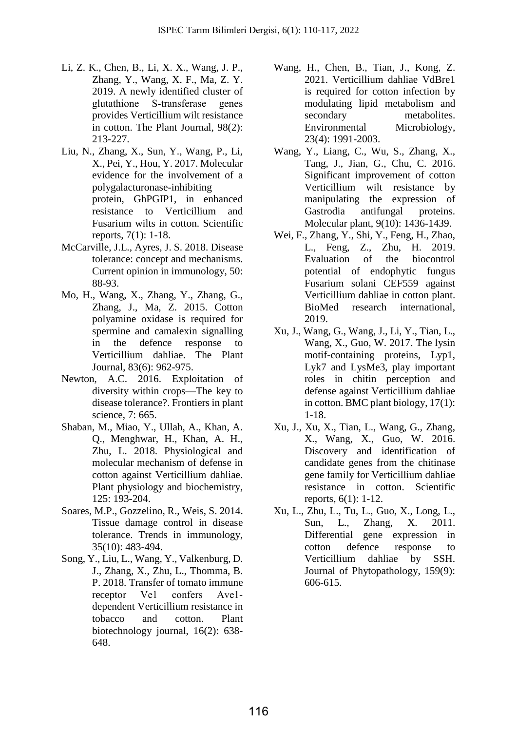- Li, Z. K., Chen, B., Li, X. X., Wang, J. P., Zhang, Y., Wang, X. F., Ma, Z. Y. 2019. A newly identified cluster of glutathione S‐transferase genes provides Verticillium wilt resistance in cotton. The Plant Journal, 98(2): 213-227.
- Liu, N., Zhang, X., Sun, Y., Wang, P., Li, X., Pei, Y., Hou, Y. 2017. Molecular evidence for the involvement of a polygalacturonase-inhibiting protein, GhPGIP1, in enhanced resistance to Verticillium and Fusarium wilts in cotton. Scientific reports, 7(1): 1-18.
- McCarville, J.L., Ayres, J. S. 2018. Disease tolerance: concept and mechanisms. Current opinion in immunology, 50: 88-93.
- Mo, H., Wang, X., Zhang, Y., Zhang, G., Zhang, J., Ma, Z. 2015. Cotton polyamine oxidase is required for spermine and camalexin signalling in the defence response to Verticillium dahliae. The Plant Journal, 83(6): 962-975.
- Newton, A.C. 2016. Exploitation of diversity within crops—The key to disease tolerance?. Frontiers in plant science, 7: 665.
- Shaban, M., Miao, Y., Ullah, A., Khan, A. Q., Menghwar, H., Khan, A. H., Zhu, L. 2018. Physiological and molecular mechanism of defense in cotton against Verticillium dahliae. Plant physiology and biochemistry, 125: 193-204.
- Soares, M.P., Gozzelino, R., Weis, S. 2014. Tissue damage control in disease tolerance. Trends in immunology, 35(10): 483-494.
- Song, Y., Liu, L., Wang, Y., Valkenburg, D. J., Zhang, X., Zhu, L., Thomma, B. P. 2018. Transfer of tomato immune receptor Vel confers Aveldependent Verticillium resistance in tobacco and cotton. Plant biotechnology journal, 16(2): 638- 648.
- Wang, H., Chen, B., Tian, J., Kong, Z. 2021. Verticillium dahliae VdBre1 is required for cotton infection by modulating lipid metabolism and secondary metabolites. Environmental Microbiology, 23(4): 1991-2003.
- Wang, Y., Liang, C., Wu, S., Zhang, X., Tang, J., Jian, G., Chu, C. 2016. Significant improvement of cotton Verticillium wilt resistance by manipulating the expression of Gastrodia antifungal proteins. Molecular plant, 9(10): 1436-1439.
- Wei, F., Zhang, Y., Shi, Y., Feng, H., Zhao, L., Feng, Z., Zhu, H. 2019. Evaluation of the biocontrol potential of endophytic fungus Fusarium solani CEF559 against Verticillium dahliae in cotton plant. BioMed research international, 2019.
- Xu, J., Wang, G., Wang, J., Li, Y., Tian, L., Wang, X., Guo, W. 2017. The lysin motif-containing proteins, Lyp1, Lyk7 and LysMe3, play important roles in chitin perception and defense against Verticillium dahliae in cotton. BMC plant biology, 17(1): 1-18.
- Xu, J., Xu, X., Tian, L., Wang, G., Zhang, X., Wang, X., Guo, W. 2016. Discovery and identification of candidate genes from the chitinase gene family for Verticillium dahliae resistance in cotton. Scientific reports, 6(1): 1-12.
- Xu, L., Zhu, L., Tu, L., Guo, X., Long, L., Sun, L., Zhang, X. 2011. Differential gene expression in cotton defence response to Verticillium dahliae by SSH. Journal of Phytopathology, 159(9): 606-615.